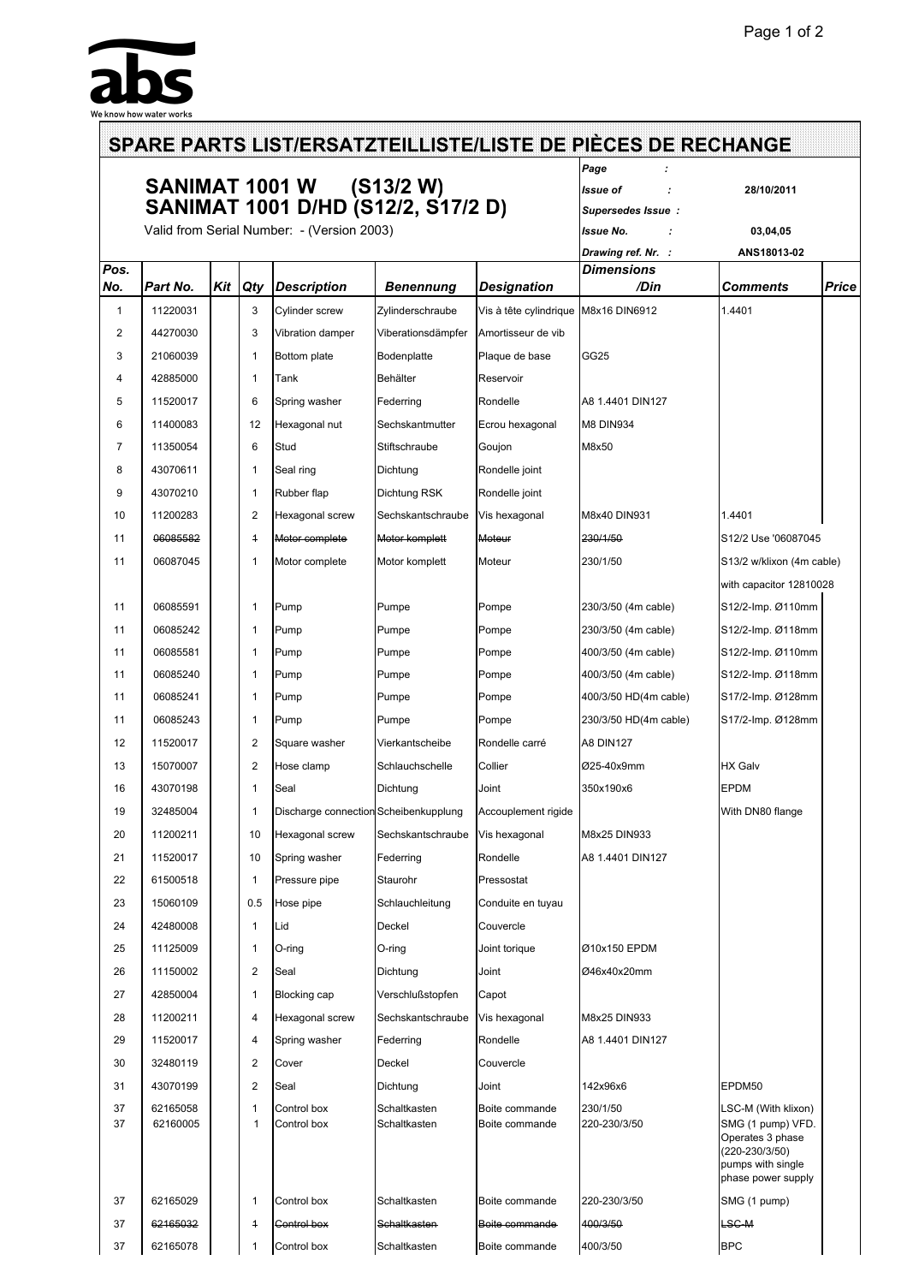

|          |                      |     |                         | SANIMAT 1001 W (S13/2 W)                   | Page<br>Issue of<br>28/10/2011<br>Supersedes Issue: |                                  |                          |                                                                                                                           |              |
|----------|----------------------|-----|-------------------------|--------------------------------------------|-----------------------------------------------------|----------------------------------|--------------------------|---------------------------------------------------------------------------------------------------------------------------|--------------|
|          |                      |     |                         | SANIMAT 1001 D/HD (S12/2, S17/2 D)         |                                                     |                                  |                          |                                                                                                                           |              |
|          |                      |     |                         | Valid from Serial Number: - (Version 2003) |                                                     |                                  | Issue No.                | 03,04,05                                                                                                                  |              |
|          |                      |     |                         |                                            |                                                     |                                  | Drawing ref. Nr. :       | ANS18013-02                                                                                                               |              |
| Pos.     |                      |     |                         |                                            |                                                     |                                  | Dimensions               |                                                                                                                           |              |
| No.      | Part No.             | Kit | <b>Qty</b>              | <b>Description</b>                         | <b>Benennung</b>                                    | <b>Designation</b>               | /Din                     | Comments                                                                                                                  | <b>Price</b> |
| 1        | 11220031             |     | 3                       | Cylinder screw                             | Zylinderschraube                                    | Vis à tête cylindrique           | M8x16 DIN6912            | 1.4401                                                                                                                    |              |
| 2        | 44270030             |     | 3                       | Vibration damper                           | Viberationsdämpfer                                  | Amortisseur de vib               |                          |                                                                                                                           |              |
| 3        | 21060039             |     | $\mathbf{1}$            | Bottom plate                               | Bodenplatte                                         | Plaque de base                   | GG25                     |                                                                                                                           |              |
| 4        | 42885000             |     | 1                       | Tank                                       | Behälter                                            | Reservoir                        |                          |                                                                                                                           |              |
| 5        | 11520017             |     | 6                       | Spring washer                              | Federring                                           | Rondelle                         | A8 1.4401 DIN127         |                                                                                                                           |              |
| 6        | 11400083             |     | 12                      | Hexagonal nut                              | Sechskantmutter                                     | Ecrou hexagonal                  | <b>M8 DIN934</b>         |                                                                                                                           |              |
| 7        | 11350054             |     | 6                       | Stud                                       | Stiftschraube                                       | Goujon                           | M8x50                    |                                                                                                                           |              |
| 8        | 43070611             |     | 1                       | Seal ring                                  | Dichtung                                            | Rondelle joint                   |                          |                                                                                                                           |              |
| 9        | 43070210             |     | 1                       | Rubber flap                                | Dichtung RSK                                        | Rondelle joint                   |                          |                                                                                                                           |              |
| 10       | 11200283             |     | 2                       | Hexagonal screw                            | Sechskantschraube                                   | Vis hexagonal                    | M8x40 DIN931             | 1.4401                                                                                                                    |              |
| 11       | 06085582             |     | $\overline{1}$          | Motor complete                             | Motor komplett                                      | Moteur                           | 230/1/50                 | S12/2 Use '06087045                                                                                                       |              |
| 11       | 06087045             |     | 1                       | Motor complete                             | Motor komplett                                      | Moteur                           | 230/1/50                 | S13/2 w/klixon (4m cable)                                                                                                 |              |
|          |                      |     |                         |                                            |                                                     |                                  |                          | with capacitor 12810028                                                                                                   |              |
| 11       | 06085591             |     | 1                       | Pump                                       | Pumpe                                               | Pompe                            | 230/3/50 (4m cable)      | S12/2-Imp. Ø110mm                                                                                                         |              |
| 11       | 06085242             |     | 1                       | Pump                                       | Pumpe                                               | Pompe                            | 230/3/50 (4m cable)      | S12/2-Imp. Ø118mm                                                                                                         |              |
| 11       | 06085581             |     | $\mathbf{1}$            | Pump                                       | Pumpe                                               | Pompe                            | 400/3/50 (4m cable)      | S12/2-Imp. Ø110mm                                                                                                         |              |
| 11       | 06085240             |     | 1                       | Pump                                       | Pumpe                                               | Pompe                            | 400/3/50 (4m cable)      | S12/2-Imp. Ø118mm                                                                                                         |              |
| 11       | 06085241             |     | $\mathbf{1}$            | Pump                                       | Pumpe                                               | Pompe                            | 400/3/50 HD(4m cable)    | S17/2-Imp. Ø128mm                                                                                                         |              |
| 11       | 06085243             |     | 1                       | Pump                                       | Pumpe                                               | Pompe                            | 230/3/50 HD(4m cable)    | S17/2-Imp. Ø128mm                                                                                                         |              |
| 12       | 11520017             |     | 2                       | Square washer                              | Vierkantscheibe                                     | Rondelle carré                   | <b>A8 DIN127</b>         |                                                                                                                           |              |
| 13       | 15070007             |     | 2                       | Hose clamp                                 | Schlauchschelle                                     | Collier                          | Ø25-40x9mm               | <b>HX Galv</b>                                                                                                            |              |
| 16       | 43070198             |     | 1                       | Seal                                       | Dichtung                                            | Joint                            | 350x190x6                | <b>EPDM</b>                                                                                                               |              |
| 19       | 32485004             |     |                         | Discharge connection Scheibenkupplung      |                                                     | Accouplement rigide              |                          | With DN80 flange                                                                                                          |              |
| 20       | 11200211             |     | 10                      | Hexagonal screw                            | Sechskantschraube                                   | Vis hexagonal                    | M8x25 DIN933             |                                                                                                                           |              |
| 21       | 11520017             |     | 10                      | Spring washer                              | Federring                                           | Rondelle                         | A8 1.4401 DIN127         |                                                                                                                           |              |
| 22       | 61500518             |     | 1                       | Pressure pipe                              |                                                     | Pressostat                       |                          |                                                                                                                           |              |
|          | 15060109             |     |                         |                                            | Staurohr                                            |                                  |                          |                                                                                                                           |              |
| 23       |                      |     | 0.5                     | Hose pipe                                  | Schlauchleitung                                     | Conduite en tuyau                |                          |                                                                                                                           |              |
| 24       | 42480008             |     | 1                       | Lid                                        | Deckel                                              | Couvercle                        |                          |                                                                                                                           |              |
| 25       | 11125009             |     | 1                       | O-ring                                     | O-ring                                              | Joint torique                    | Ø10x150 EPDM             |                                                                                                                           |              |
| 26       | 11150002             |     | $\overline{\mathbf{c}}$ | Seal                                       | Dichtung                                            | Joint                            | Ø46x40x20mm              |                                                                                                                           |              |
| 27       | 42850004             |     | $\mathbf{1}$            | Blocking cap                               | Verschlußstopfen                                    | Capot                            |                          |                                                                                                                           |              |
| 28       | 11200211             |     | 4                       | Hexagonal screw                            | Sechskantschraube                                   | Vis hexagonal                    | M8x25 DIN933             |                                                                                                                           |              |
| 29       | 11520017             |     | 4                       | Spring washer                              | Federring                                           | Rondelle                         | A8 1.4401 DIN127         |                                                                                                                           |              |
| 30       | 32480119             |     | $\overline{\mathbf{c}}$ | Cover                                      | Deckel                                              | Couvercle                        |                          |                                                                                                                           |              |
| 31       | 43070199             |     | 2                       | Seal                                       | Dichtung                                            | Joint                            | 142x96x6                 | EPDM50                                                                                                                    |              |
| 37<br>37 | 62165058<br>62160005 |     | $\mathbf{1}$<br>1       | Control box<br>Control box                 | Schaltkasten<br>Schaltkasten                        | Boite commande<br>Boite commande | 230/1/50<br>220-230/3/50 | LSC-M (With klixon)<br>SMG (1 pump) VFD.<br>Operates 3 phase<br>(220-230/3/50)<br>pumps with single<br>phase power supply |              |
| 37       | 62165029             |     | 1                       | Control box                                | Schaltkasten                                        | Boite commande                   | 220-230/3/50             | SMG (1 pump)                                                                                                              |              |
| 37       | 62165032             |     | $\overline{1}$          | Control box                                | Schaltkasten                                        | Boite commande                   | 400/3/50                 | <b>LSC-M</b>                                                                                                              |              |
| 37       | 62165078             |     | 1                       | Control box                                | Schaltkasten                                        | Boite commande                   | 400/3/50                 | <b>BPC</b>                                                                                                                |              |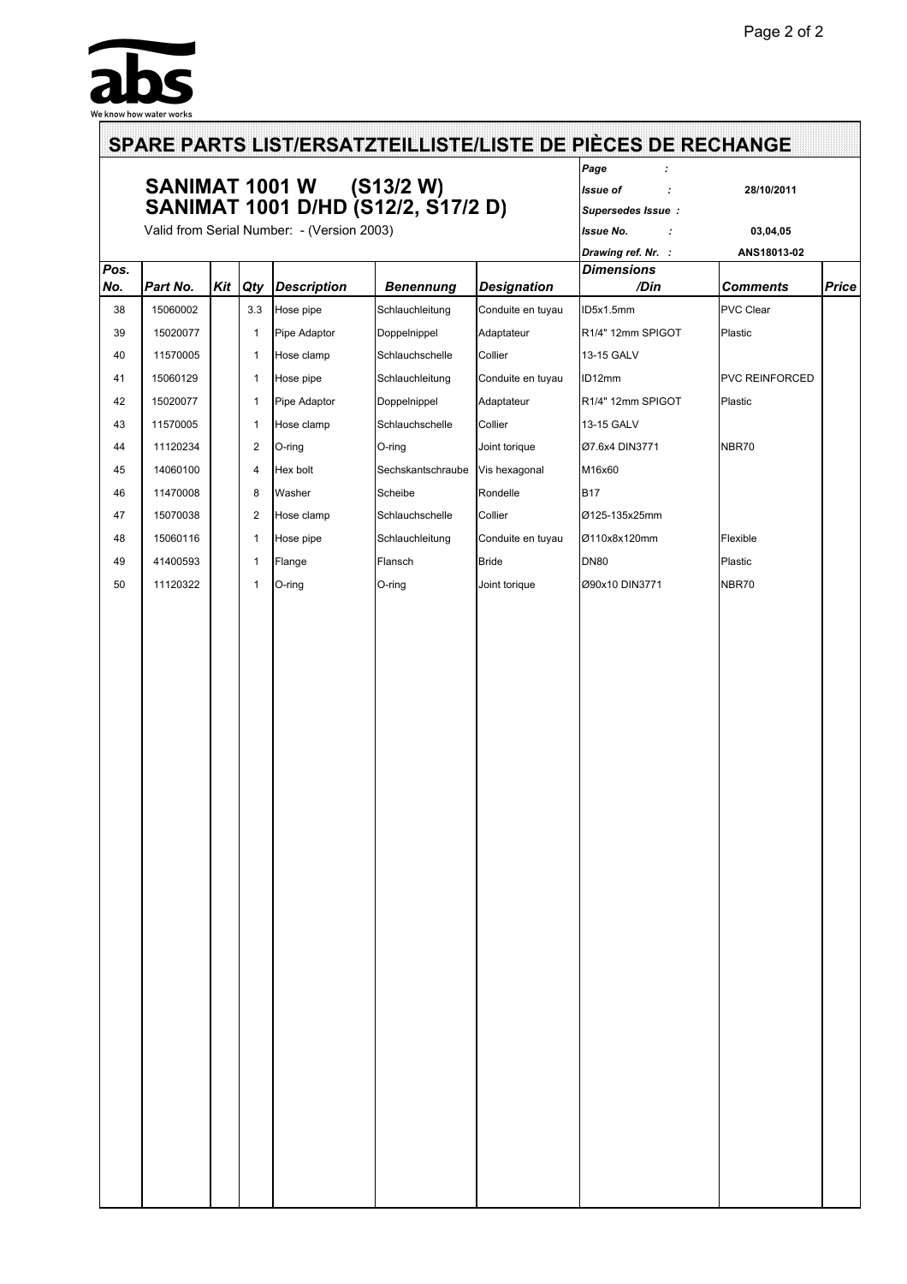

|             |          |                | SANIMAT 1001 W (S13/2 W)<br>SANIMAT 1001 D/HD (S12/2, S17/2 D) | Page<br>Issue of<br>28/10/2011<br>÷<br>Supersedes Issue: |                                   |                           |                       |              |
|-------------|----------|----------------|----------------------------------------------------------------|----------------------------------------------------------|-----------------------------------|---------------------------|-----------------------|--------------|
|             |          |                | Valid from Serial Number: - (Version 2003)                     |                                                          | <b>Issue No.</b><br>03,04,05<br>÷ |                           |                       |              |
|             |          |                |                                                                |                                                          |                                   | Drawing ref. Nr. :        | ANS18013-02           |              |
| Pos.<br>No. | Part No. | Kit   Qty      | <b>Description</b>                                             | <b>Benennung</b>                                         | <b>Designation</b>                | <b>Dimensions</b><br>/Din | <b>Comments</b>       | <b>Price</b> |
| 38          | 15060002 | 3.3            | Hose pipe                                                      | Schlauchleitung                                          | Conduite en tuyau                 | ID5x1.5mm                 | <b>PVC Clear</b>      |              |
| 39          |          |                |                                                                |                                                          |                                   |                           |                       |              |
|             | 15020077 | $\mathbf{1}$   | Pipe Adaptor                                                   | Doppelnippel                                             | Adaptateur                        | R1/4" 12mm SPIGOT         | Plastic               |              |
| 40          | 11570005 | 1              | Hose clamp                                                     | Schlauchschelle                                          | Collier                           | 13-15 GALV                |                       |              |
| 41          | 15060129 | $\mathbf{1}$   | Hose pipe                                                      | Schlauchleitung                                          | Conduite en tuyau                 | ID12mm                    | <b>PVC REINFORCED</b> |              |
| 42          | 15020077 | $\mathbf{1}$   | Pipe Adaptor                                                   | Doppelnippel                                             | Adaptateur                        | R1/4" 12mm SPIGOT         | Plastic               |              |
| 43          | 11570005 | $\mathbf{1}$   | Hose clamp                                                     | Schlauchschelle                                          | Collier                           | 13-15 GALV                |                       |              |
| 44          | 11120234 | $\overline{2}$ | O-ring                                                         | O-ring                                                   | Joint torique                     | Ø7.6x4 DIN3771            | NBR70                 |              |
| 45          | 14060100 | $\overline{4}$ | Hex bolt                                                       | Sechskantschraube                                        | Vis hexagonal                     | M16x60                    |                       |              |
| 46          | 11470008 | 8              | Washer                                                         | Scheibe                                                  | Rondelle                          | <b>B17</b>                |                       |              |
| 47          | 15070038 | $\overline{2}$ | Hose clamp                                                     | Schlauchschelle                                          | Collier                           | Ø125-135x25mm             |                       |              |
| 48          | 15060116 | $\mathbf{1}$   | Hose pipe                                                      | Schlauchleitung                                          | Conduite en tuyau                 | Ø110x8x120mm              | Flexible              |              |
| 49          | 41400593 | $\mathbf{1}$   | Flange                                                         | Flansch                                                  | <b>Bride</b>                      | <b>DN80</b>               | Plastic               |              |
| 50          | 11120322 | $\mathbf{1}$   | O-ring                                                         | O-ring                                                   | Joint torique                     | Ø90x10 DIN3771            | NBR70                 |              |
|             |          |                |                                                                |                                                          |                                   |                           |                       |              |
|             |          |                |                                                                |                                                          |                                   |                           |                       |              |